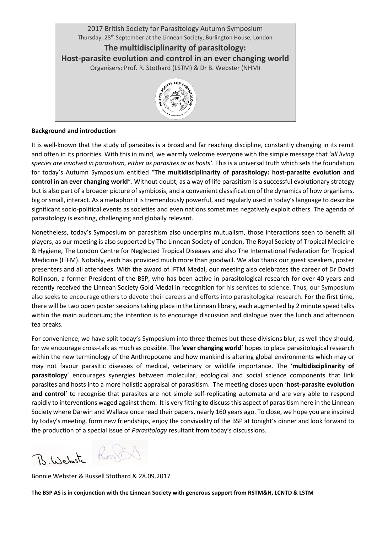

## **Background and introduction**

It is well-known that the study of parasites is a broad and far reaching discipline, constantly changing in its remit and often in its priorities. With this in mind, we warmly welcome everyone with the simple message that 'a*ll living species are involved in parasitism, either as parasites or as hosts'.* Thisis a universal truth which sets the foundation for today's Autumn Symposium entitled "**The multidisciplinarity of parasitology: host-parasite evolution and control in an ever changing world**". Without doubt, as a way of life parasitism is a successful evolutionary strategy but is also part of a broader picture of symbiosis, and a convenient classification of the dynamics of how organisms, big or small, interact. As a metaphor it is tremendously powerful, and regularly used in today's language to describe significant socio-political events as societies and even nations sometimes negatively exploit others. The agenda of parasitology is exciting, challenging and globally relevant.

Nonetheless, today's Symposium on parasitism also underpins mutualism, those interactions seen to benefit all players, as our meeting is also supported by The Linnean Society of London, The Royal Society of Tropical Medicine & Hygiene, The London Centre for Neglected Tropical Diseases and also The International Federation for Tropical Medicine (ITFM). Notably, each has provided much more than goodwill. We also thank our guest speakers, poster presenters and all attendees. With the award of IFTM Medal, our meeting also celebrates the career of Dr David Rollinson, a former President of the BSP, who has been active in parasitological research for over 40 years and recently received the Linnean Society Gold Medal in recognition for his services to science. Thus, our Symposium also seeks to encourage others to devote their careers and efforts into parasitological research. For the first time, there will be two open poster sessions taking place in the Linnean library, each augmented by 2 minute speed talks within the main auditorium; the intention is to encourage discussion and dialogue over the lunch and afternoon tea breaks.

For convenience, we have split today's Symposium into three themes but these divisions blur, as well they should, for we encourage cross-talk as much as possible. The '**ever changing world**' hopes to place parasitological research within the new terminology of the Anthropocene and how mankind is altering global environments which may or may not favour parasitic diseases of medical, veterinary or wildlife importance. The '**multidisciplinarity of parasitology**' encourages synergies between molecular, ecological and social science components that link parasites and hosts into a more holistic appraisal of parasitism. The meeting closes upon '**host-parasite evolution and control**' to recognise that parasites are not simple self-replicating automata and are very able to respond rapidly to interventions waged against them. It is very fitting to discuss this aspect of parasitism here in the Linnean Society where Darwin and Wallace once read their papers, nearly 160 years ago. To close, we hope you are inspired by today's meeting, form new friendships, enjoy the conviviality of the BSP at tonight's dinner and look forward to the production of a special issue of *Parasitology* resultant from today's discussions.

B. Website Russell

Bonnie Webster & Russell Stothard & 28.09.2017

**The BSP AS is in conjunction with the Linnean Society with generous support from RSTM&H, LCNTD & LSTM**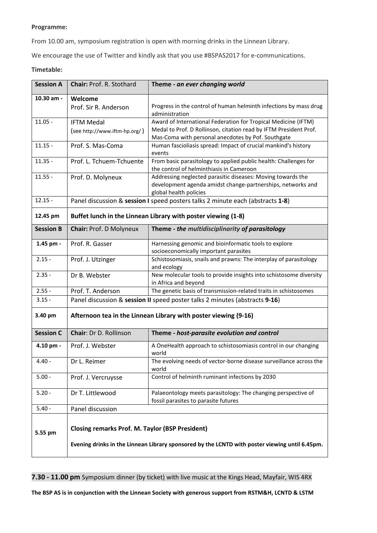## **Programme:**

From 10.00 am, symposium registration is open with morning drinks in the Linnean Library.

We encourage the use of Twitter and kindly ask that you use #BSPAS2017 for e-communications.

## **Timetable:**

| <b>Session A</b> | <b>Chair: Prof. R. Stothard</b>                                                                                                                          | Theme - an ever changing world                                                                                                                       |
|------------------|----------------------------------------------------------------------------------------------------------------------------------------------------------|------------------------------------------------------------------------------------------------------------------------------------------------------|
| 10.30 am -       | Welcome                                                                                                                                                  |                                                                                                                                                      |
|                  | Prof. Sir R. Anderson                                                                                                                                    | Progress in the control of human helminth infections by mass drug<br>administration                                                                  |
| $11.05 -$        | <b>IFTM Medal</b>                                                                                                                                        | Award of International Federation for Tropical Medicine (IFTM)                                                                                       |
|                  | (see http://www.iftm-hp.org/)                                                                                                                            | Medal to Prof. D Rollinson, citation read by IFTM President Prof.<br>Mas-Coma with personal anecdotes by Pof. Southgate                              |
| $11.15 -$        | Prof. S. Mas-Coma                                                                                                                                        | Human fascioliasis spread: Impact of crucial mankind's history<br>events                                                                             |
| $11.35 -$        | Prof. L. Tchuem-Tchuente                                                                                                                                 | From basic parasitology to applied public health: Challenges for<br>the control of helminthiasis in Cameroon                                         |
| $11.55 -$        | Prof. D. Molyneux                                                                                                                                        | Addressing neglected parasitic diseases: Moving towards the<br>development agenda amidst change-partnerships, networks and<br>global health policies |
| $12.15 -$        | Panel discussion & session I speed posters talks 2 minute each (abstracts 1-8)                                                                           |                                                                                                                                                      |
| 12.45 pm         | Buffet lunch in the Linnean Library with poster viewing (1-8)                                                                                            |                                                                                                                                                      |
| <b>Session B</b> | Chair: Prof. D Molyneux                                                                                                                                  | Theme - the multidisciplinarity of parasitology                                                                                                      |
| 1.45 pm -        | Prof. R. Gasser                                                                                                                                          | Harnessing genomic and bioinformatic tools to explore<br>socioeconomically important parasites                                                       |
| $2.15 -$         | Prof. J. Utzinger                                                                                                                                        | Schistosomiasis, snails and prawns: The interplay of parasitology<br>and ecology                                                                     |
| $2.35 -$         | Dr B. Webster                                                                                                                                            | New molecular tools to provide insights into schistosome diversity<br>in Africa and beyond                                                           |
| $2.55 -$         | Prof. T. Anderson                                                                                                                                        | The genetic basis of transmission-related traits in schistosomes                                                                                     |
| $3.15 -$         | Panel discussion & session II speed poster talks 2 minutes (abstracts 9-16)                                                                              |                                                                                                                                                      |
| 3.40 pm          | Afternoon tea in the Linnean Library with poster viewing (9-16)                                                                                          |                                                                                                                                                      |
| <b>Session C</b> | Chair: Dr D. Rollinson                                                                                                                                   | Theme - host-parasite evolution and control                                                                                                          |
| 4.10 pm -        | Prof. J. Webster                                                                                                                                         | A OneHealth approach to schistosomiasis control in our changing<br>world                                                                             |
| $4.40 -$         | Dr L. Reimer                                                                                                                                             | The evolving needs of vector-borne disease surveillance across the<br>world                                                                          |
| $5.00 -$         | Prof. J. Vercruysse                                                                                                                                      | Control of helminth ruminant infections by 2030                                                                                                      |
| $5.20 -$         | Dr T. Littlewood                                                                                                                                         | Palaeontology meets parasitology: The changing perspective of<br>fossil parasites to parasite futures                                                |
| $5.40 -$         | Panel discussion                                                                                                                                         |                                                                                                                                                      |
| 5.55 pm          | <b>Closing remarks Prof. M. Taylor (BSP President)</b><br>Evening drinks in the Linnean Library sponsored by the LCNTD with poster viewing until 6.45pm. |                                                                                                                                                      |

**7.30 - 11.00 pm** Symposium dinner (by ticket) with live music at the Kings Head, Mayfair, WIS 4RX

**The BSP AS is in conjunction with the Linnean Society with generous support from RSTM&H, LCNTD & LSTM**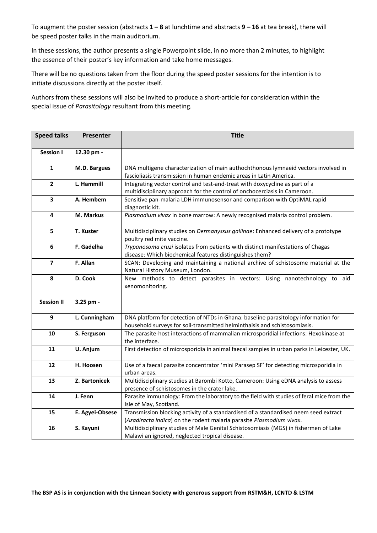To augment the poster session (abstracts **1 – 8** at lunchtime and abstracts **9 – 16** at tea break), there will be speed poster talks in the main auditorium.

In these sessions, the author presents a single Powerpoint slide, in no more than 2 minutes, to highlight the essence of their poster's key information and take home messages.

There will be no questions taken from the floor during the speed poster sessions for the intention is to initiate discussions directly at the poster itself.

Authors from these sessions will also be invited to produce a short-article for consideration within the special issue of *Parasitology* resultant from this meeting.

| <b>Speed talks</b> | Presenter       | <b>Title</b>                                                                                                                                                    |
|--------------------|-----------------|-----------------------------------------------------------------------------------------------------------------------------------------------------------------|
| <b>Session I</b>   | 12.30 pm -      |                                                                                                                                                                 |
| $\mathbf{1}$       | M.D. Bargues    | DNA multigene characterization of main authochthonous lymnaeid vectors involved in<br>fascioliasis transmission in human endemic areas in Latin America.        |
| $\overline{2}$     | L. Hammill      | Integrating vector control and test-and-treat with doxycycline as part of a<br>multidisciplinary approach for the control of onchocerciasis in Cameroon.        |
| 3                  | A. Hembem       | Sensitive pan-malaria LDH immunosensor and comparison with OptiMAL rapid<br>diagnostic kit.                                                                     |
| 4                  | M. Markus       | Plasmodium vivax in bone marrow: A newly recognised malaria control problem.                                                                                    |
| 5                  | T. Kuster       | Multidisciplinary studies on Dermanyssus gallinae: Enhanced delivery of a prototype<br>poultry red mite vaccine.                                                |
| 6                  | F. Gadelha      | Trypanosoma cruzi isolates from patients with distinct manifestations of Chagas<br>disease: Which biochemical features distinguishes them?                      |
| $\overline{ }$     | F. Allan        | SCAN: Developing and maintaining a national archive of schistosome material at the<br>Natural History Museum, London.                                           |
| 8                  | D. Cook         | New methods to detect parasites in vectors: Using nanotechnology to aid<br>xenomonitoring.                                                                      |
| <b>Session II</b>  | 3.25 pm -       |                                                                                                                                                                 |
| 9                  | L. Cunningham   | DNA platform for detection of NTDs in Ghana: baseline parasitology information for<br>household surveys for soil-transmitted helminthaisis and schistosomiasis. |
| 10                 | S. Ferguson     | The parasite-host interactions of mammalian microsporidial infections: Hexokinase at<br>the interface.                                                          |
| 11                 | U. Anjum        | First detection of microsporidia in animal faecal samples in urban parks in Leicester, UK.                                                                      |
| 12                 | H. Hoosen       | Use of a faecal parasite concentrator 'mini Parasep SF' for detecting microsporidia in<br>urban areas.                                                          |
| 13                 | Z. Bartonicek   | Multidisciplinary studies at Barombi Kotto, Cameroon: Using eDNA analysis to assess<br>presence of schistosomes in the crater lake.                             |
| 14                 | J. Fenn         | Parasite immunology: From the laboratory to the field with studies of feral mice from the<br>Isle of May, Scotland.                                             |
| 15                 | E. Agyei-Obsese | Transmission blocking activity of a standardised of a standardised neem seed extract<br>(Azadiracta indica) on the rodent malaria parasite Plasmodium vivax.    |
| 16                 | S. Kayuni       | Multidisciplinary studies of Male Genital Schistosomiasis (MGS) in fishermen of Lake<br>Malawi an ignored, neglected tropical disease.                          |